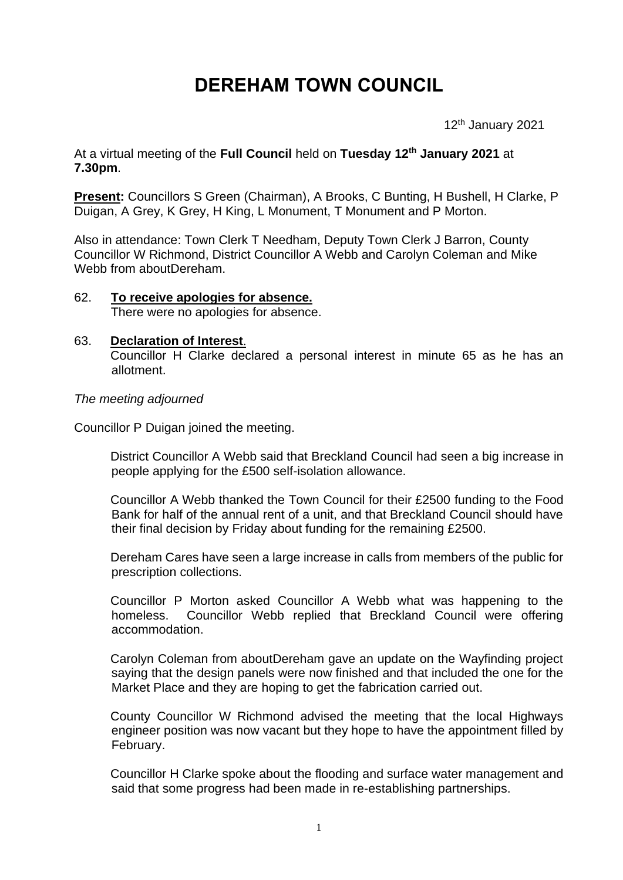# **DEREHAM TOWN COUNCIL**

12th January 2021

At a virtual meeting of the **Full Council** held on **Tuesday 12th January 2021** at **7.30pm**.

**Present:** Councillors S Green (Chairman), A Brooks, C Bunting, H Bushell, H Clarke, P Duigan, A Grey, K Grey, H King, L Monument, T Monument and P Morton.

Also in attendance: Town Clerk T Needham, Deputy Town Clerk J Barron, County Councillor W Richmond, District Councillor A Webb and Carolyn Coleman and Mike Webb from aboutDereham.

62. **To receive apologies for absence.** There were no apologies for absence.

#### 63. **Declaration of Interest**. Councillor H Clarke declared a personal interest in minute 65 as he has an allotment.

*The meeting adjourned*

Councillor P Duigan joined the meeting.

District Councillor A Webb said that Breckland Council had seen a big increase in people applying for the £500 self-isolation allowance.

Councillor A Webb thanked the Town Council for their £2500 funding to the Food Bank for half of the annual rent of a unit, and that Breckland Council should have their final decision by Friday about funding for the remaining £2500.

Dereham Cares have seen a large increase in calls from members of the public for prescription collections.

Councillor P Morton asked Councillor A Webb what was happening to the homeless. Councillor Webb replied that Breckland Council were offering accommodation.

Carolyn Coleman from aboutDereham gave an update on the Wayfinding project saying that the design panels were now finished and that included the one for the Market Place and they are hoping to get the fabrication carried out.

County Councillor W Richmond advised the meeting that the local Highways engineer position was now vacant but they hope to have the appointment filled by February.

Councillor H Clarke spoke about the flooding and surface water management and said that some progress had been made in re-establishing partnerships.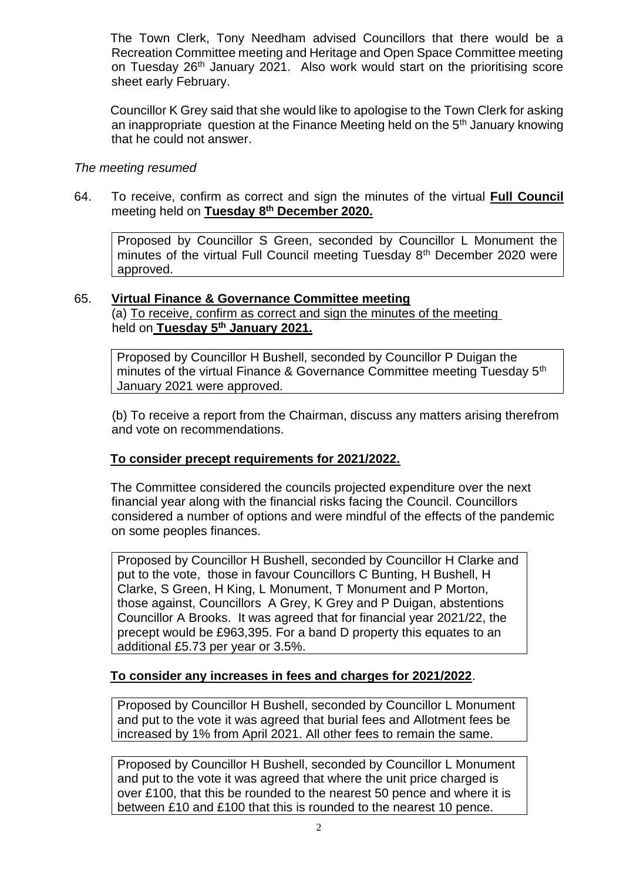The Town Clerk, Tony Needham advised Councillors that there would be a Recreation Committee meeting and Heritage and Open Space Committee meeting on Tuesday 26th January 2021. Also work would start on the prioritising score sheet early February.

Councillor K Grey said that she would like to apologise to the Town Clerk for asking an inappropriate question at the Finance Meeting held on the 5th January knowing that he could not answer.

### *The meeting resumed*

64. To receive, confirm as correct and sign the minutes of the virtual **Full Council**  meeting held on **Tuesday 8 th December 2020.**

Proposed by Councillor S Green, seconded by Councillor L Monument the minutes of the virtual Full Council meeting Tuesday 8<sup>th</sup> December 2020 were approved.

## 65. **Virtual Finance & Governance Committee meeting**

(a) To receive, confirm as correct and sign the minutes of the meeting held on **Tuesday 5th January 2021.**

Proposed by Councillor H Bushell, seconded by Councillor P Duigan the minutes of the virtual Finance & Governance Committee meeting Tuesday 5<sup>th</sup> January 2021 were approved.

(b) To receive a report from the Chairman, discuss any matters arising therefrom and vote on recommendations.

## **To consider precept requirements for 2021/2022.**

The Committee considered the councils projected expenditure over the next financial year along with the financial risks facing the Council. Councillors considered a number of options and were mindful of the effects of the pandemic on some peoples finances.

Proposed by Councillor H Bushell, seconded by Councillor H Clarke and put to the vote, those in favour Councillors C Bunting, H Bushell, H Clarke, S Green, H King, L Monument, T Monument and P Morton, those against, Councillors A Grey, K Grey and P Duigan, abstentions Councillor A Brooks. It was agreed that for financial year 2021/22, the precept would be £963,395. For a band D property this equates to an additional £5.73 per year or 3.5%.

## **To consider any increases in fees and charges for 2021/2022**.

Proposed by Councillor H Bushell, seconded by Councillor L Monument and put to the vote it was agreed that burial fees and Allotment fees be increased by 1% from April 2021. All other fees to remain the same.

Proposed by Councillor H Bushell, seconded by Councillor L Monument and put to the vote it was agreed that where the unit price charged is over £100, that this be rounded to the nearest 50 pence and where it is between £10 and £100 that this is rounded to the nearest 10 pence.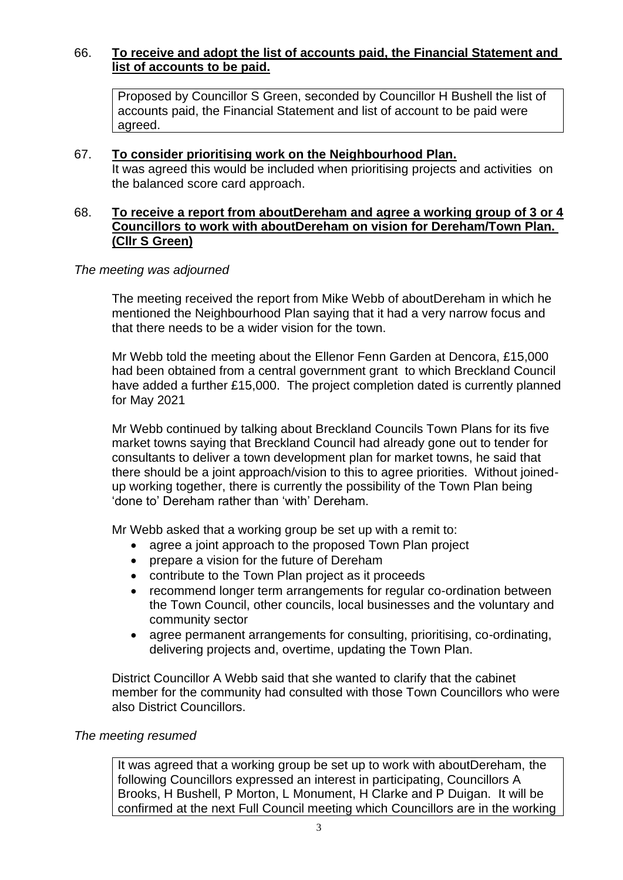## 66. **To receive and adopt the list of accounts paid, the Financial Statement and list of accounts to be paid.**

Proposed by Councillor S Green, seconded by Councillor H Bushell the list of accounts paid, the Financial Statement and list of account to be paid were agreed.

#### 67. **To consider prioritising work on the Neighbourhood Plan.**

It was agreed this would be included when prioritising projects and activities on the balanced score card approach.

#### 68. **To receive a report from aboutDereham and agree a working group of 3 or 4 Councillors to work with aboutDereham on vision for Dereham/Town Plan. (Cllr S Green)**

#### *The meeting was adjourned*

The meeting received the report from Mike Webb of aboutDereham in which he mentioned the Neighbourhood Plan saying that it had a very narrow focus and that there needs to be a wider vision for the town.

Mr Webb told the meeting about the Ellenor Fenn Garden at Dencora, £15,000 had been obtained from a central government grant to which Breckland Council have added a further £15,000. The project completion dated is currently planned for May 2021

Mr Webb continued by talking about Breckland Councils Town Plans for its five market towns saying that Breckland Council had already gone out to tender for consultants to deliver a town development plan for market towns, he said that there should be a joint approach/vision to this to agree priorities. Without joinedup working together, there is currently the possibility of the Town Plan being 'done to' Dereham rather than 'with' Dereham.

Mr Webb asked that a working group be set up with a remit to:

- agree a joint approach to the proposed Town Plan project
- prepare a vision for the future of Dereham
- contribute to the Town Plan project as it proceeds
- recommend longer term arrangements for regular co-ordination between the Town Council, other councils, local businesses and the voluntary and community sector
- agree permanent arrangements for consulting, prioritising, co-ordinating, delivering projects and, overtime, updating the Town Plan.

District Councillor A Webb said that she wanted to clarify that the cabinet member for the community had consulted with those Town Councillors who were also District Councillors.

#### *The meeting resumed*

It was agreed that a working group be set up to work with aboutDereham, the following Councillors expressed an interest in participating, Councillors A Brooks, H Bushell, P Morton, L Monument, H Clarke and P Duigan. It will be confirmed at the next Full Council meeting which Councillors are in the working